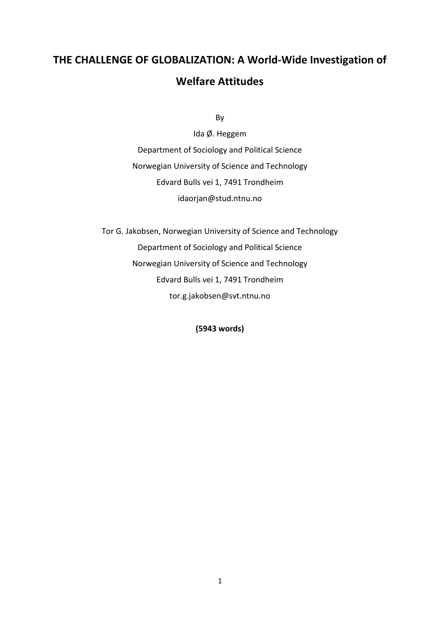# **THE CHALLENGE OF GLOBALIZATION: A World-Wide Investigation of Welfare Attitudes**

By

Ida Ø. Heggem Department of Sociology and Political Science Norwegian University of Science and Technology Edvard Bulls vei 1, 7491 Trondheim idaorjan@stud.ntnu.no

Tor G. Jakobsen, Norwegian University of Science and Technology Department of Sociology and Political Science Norwegian University of Science and Technology Edvard Bulls vei 1, 7491 Trondheim tor.g.jakobsen@svt.ntnu.no

**(5943 words)**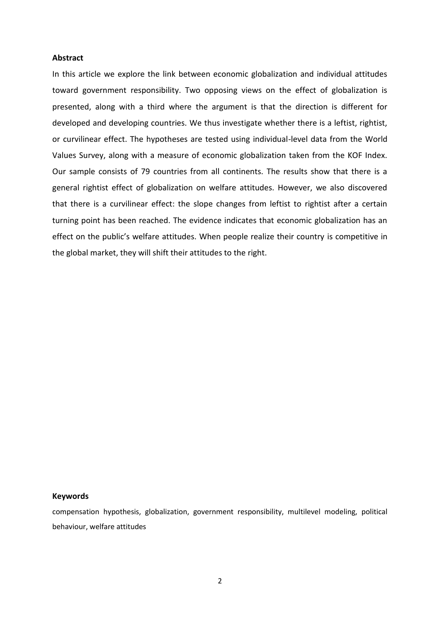#### **Abstract**

In this article we explore the link between economic globalization and individual attitudes toward government responsibility. Two opposing views on the effect of globalization is presented, along with a third where the argument is that the direction is different for developed and developing countries. We thus investigate whether there is a leftist, rightist, or curvilinear effect. The hypotheses are tested using individual-level data from the World Values Survey, along with a measure of economic globalization taken from the KOF Index. Our sample consists of 79 countries from all continents. The results show that there is a general rightist effect of globalization on welfare attitudes. However, we also discovered that there is a curvilinear effect: the slope changes from leftist to rightist after a certain turning point has been reached. The evidence indicates that economic globalization has an effect on the public's welfare attitudes. When people realize their country is competitive in the global market, they will shift their attitudes to the right.

#### **Keywords**

compensation hypothesis, globalization, government responsibility, multilevel modeling, political behaviour, welfare attitudes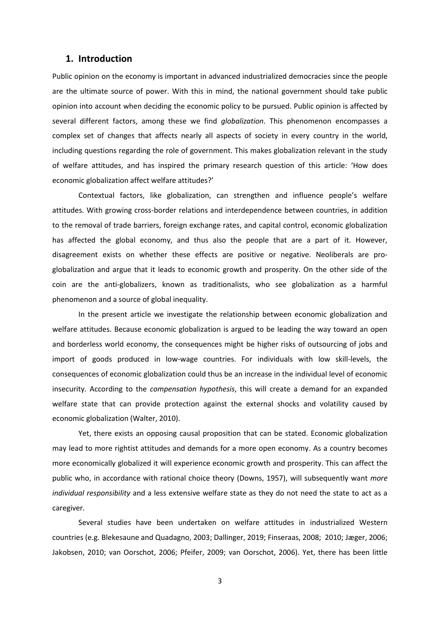## **1. Introduction**

Public opinion on the economy is important in advanced industrialized democracies since the people are the ultimate source of power. With this in mind, the national government should take public opinion into account when deciding the economic policy to be pursued. Public opinion is affected by several different factors, among these we find *globalization*. This phenomenon encompasses a complex set of changes that affects nearly all aspects of society in every country in the world, including questions regarding the role of government. This makes globalization relevant in the study of welfare attitudes, and has inspired the primary research question of this article: 'How does economic globalization affect welfare attitudes?'

Contextual factors, like globalization, can strengthen and influence people's welfare attitudes. With growing cross-border relations and interdependence between countries, in addition to the removal of trade barriers, foreign exchange rates, and capital control, economic globalization has affected the global economy, and thus also the people that are a part of it. However, disagreement exists on whether these effects are positive or negative. Neoliberals are proglobalization and argue that it leads to economic growth and prosperity. On the other side of the coin are the anti-globalizers, known as traditionalists, who see globalization as a harmful phenomenon and a source of global inequality.

In the present article we investigate the relationship between economic globalization and welfare attitudes. Because economic globalization is argued to be leading the way toward an open and borderless world economy, the consequences might be higher risks of outsourcing of jobs and import of goods produced in low-wage countries. For individuals with low skill-levels, the consequences of economic globalization could thus be an increase in the individual level of economic insecurity. According to the *compensation hypothesis*, this will create a demand for an expanded welfare state that can provide protection against the external shocks and volatility caused by economic globalization (Walter, 2010).

Yet, there exists an opposing causal proposition that can be stated. Economic globalization may lead to more rightist attitudes and demands for a more open economy. As a country becomes more economically globalized it will experience economic growth and prosperity. This can affect the public who, in accordance with rational choice theory (Downs, 1957), will subsequently want *more individual responsibility* and a less extensive welfare state as they do not need the state to act as a caregiver.

Several studies have been undertaken on welfare attitudes in industrialized Western countries (e.g. Blekesaune and Quadagno, 2003; Dallinger, 2019; Finseraas, 2008; 2010; Jæger, 2006; Jakobsen, 2010; van Oorschot, 2006; Pfeifer, 2009; van Oorschot, 2006). Yet, there has been little

3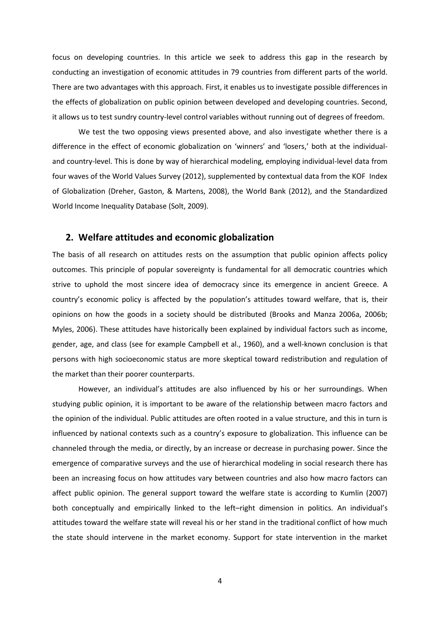focus on developing countries. In this article we seek to address this gap in the research by conducting an investigation of economic attitudes in 79 countries from different parts of the world. There are two advantages with this approach. First, it enables us to investigate possible differences in the effects of globalization on public opinion between developed and developing countries. Second, it allows us to test sundry country-level control variables without running out of degrees of freedom.

We test the two opposing views presented above, and also investigate whether there is a difference in the effect of economic globalization on 'winners' and 'losers,' both at the individualand country-level. This is done by way of hierarchical modeling, employing individual-level data from four waves of the World Values Survey (2012), supplemented by contextual data from the KOF Index of Globalization (Dreher, Gaston, & Martens, 2008), the World Bank (2012), and the Standardized World Income Inequality Database (Solt, 2009).

## **2. Welfare attitudes and economic globalization**

The basis of all research on attitudes rests on the assumption that public opinion affects policy outcomes. This principle of popular sovereignty is fundamental for all democratic countries which strive to uphold the most sincere idea of democracy since its emergence in ancient Greece. A country's economic policy is affected by the population's attitudes toward welfare, that is, their opinions on how the goods in a society should be distributed (Brooks and Manza 2006a, 2006b; Myles, 2006). These attitudes have historically been explained by individual factors such as income, gender, age, and class (see for example Campbell et al., 1960), and a well-known conclusion is that persons with high socioeconomic status are more skeptical toward redistribution and regulation of the market than their poorer counterparts.

However, an individual's attitudes are also influenced by his or her surroundings. When studying public opinion, it is important to be aware of the relationship between macro factors and the opinion of the individual. Public attitudes are often rooted in a value structure, and this in turn is influenced by national contexts such as a country's exposure to globalization. This influence can be channeled through the media, or directly, by an increase or decrease in purchasing power. Since the emergence of comparative surveys and the use of hierarchical modeling in social research there has been an increasing focus on how attitudes vary between countries and also how macro factors can affect public opinion. The general support toward the welfare state is according to Kumlin (2007) both conceptually and empirically linked to the left–right dimension in politics. An individual's attitudes toward the welfare state will reveal his or her stand in the traditional conflict of how much the state should intervene in the market economy. Support for state intervention in the market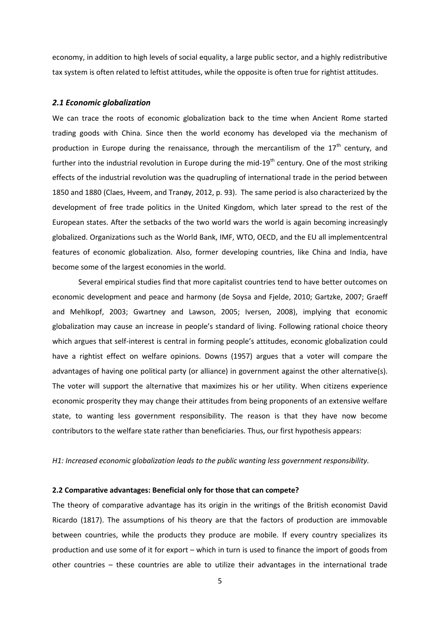economy, in addition to high levels of social equality, a large public sector, and a highly redistributive tax system is often related to leftist attitudes, while the opposite is often true for rightist attitudes.

#### *2.1 Economic globalization*

We can trace the roots of economic globalization back to the time when Ancient Rome started trading goods with China. Since then the world economy has developed via the mechanism of production in Europe during the renaissance, through the mercantilism of the  $17<sup>th</sup>$  century, and further into the industrial revolution in Europe during the mid-19<sup>th</sup> century. One of the most striking effects of the industrial revolution was the quadrupling of international trade in the period between 1850 and 1880 (Claes, Hveem, and Tranøy, 2012, p. 93). The same period is also characterized by the development of free trade politics in the United Kingdom, which later spread to the rest of the European states. After the setbacks of the two world wars the world is again becoming increasingly globalized. Organizations such as the World Bank, IMF, WTO, OECD, and the EU all implementcentral features of economic globalization. Also, former developing countries, like China and India, have become some of the largest economies in the world.

Several empirical studies find that more capitalist countries tend to have better outcomes on economic development and peace and harmony (de Soysa and Fjelde, 2010; Gartzke, 2007; Graeff and Mehlkopf, 2003; Gwartney and Lawson, 2005; Iversen, 2008), implying that economic globalization may cause an increase in people's standard of living. Following rational choice theory which argues that self-interest is central in forming people's attitudes, economic globalization could have a rightist effect on welfare opinions. Downs (1957) argues that a voter will compare the advantages of having one political party (or alliance) in government against the other alternative(s). The voter will support the alternative that maximizes his or her utility. When citizens experience economic prosperity they may change their attitudes from being proponents of an extensive welfare state, to wanting less government responsibility. The reason is that they have now become contributors to the welfare state rather than beneficiaries. Thus, our first hypothesis appears:

#### *H1: Increased economic globalization leads to the public wanting less government responsibility.*

#### **2.2 Comparative advantages: Beneficial only for those that can compete?**

The theory of comparative advantage has its origin in the writings of the British economist David Ricardo (1817). The assumptions of his theory are that the factors of production are immovable between countries, while the products they produce are mobile. If every country specializes its production and use some of it for export – which in turn is used to finance the import of goods from other countries – these countries are able to utilize their advantages in the international trade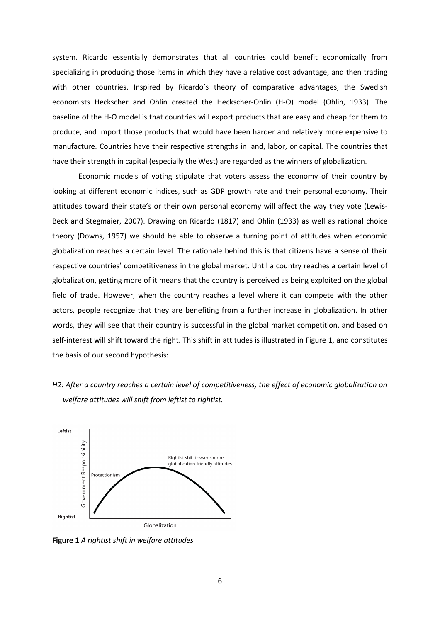system. Ricardo essentially demonstrates that all countries could benefit economically from specializing in producing those items in which they have a relative cost advantage, and then trading with other countries. Inspired by Ricardo's theory of comparative advantages, the Swedish economists Heckscher and Ohlin created the Heckscher-Ohlin (H-O) model (Ohlin, 1933). The baseline of the H-O model is that countries will export products that are easy and cheap for them to produce, and import those products that would have been harder and relatively more expensive to manufacture. Countries have their respective strengths in land, labor, or capital. The countries that have their strength in capital (especially the West) are regarded as the winners of globalization.

Economic models of voting stipulate that voters assess the economy of their country by looking at different economic indices, such as GDP growth rate and their personal economy. Their attitudes toward their state's or their own personal economy will affect the way they vote (Lewis-Beck and Stegmaier, 2007). Drawing on Ricardo (1817) and Ohlin (1933) as well as rational choice theory (Downs, 1957) we should be able to observe a turning point of attitudes when economic globalization reaches a certain level. The rationale behind this is that citizens have a sense of their respective countries' competitiveness in the global market. Until a country reaches a certain level of globalization, getting more of it means that the country is perceived as being exploited on the global field of trade. However, when the country reaches a level where it can compete with the other actors, people recognize that they are benefiting from a further increase in globalization. In other words, they will see that their country is successful in the global market competition, and based on self-interest will shift toward the right. This shift in attitudes is illustrated in Figure 1, and constitutes the basis of our second hypothesis:





**Figure 1** *A rightist shift in welfare attitudes*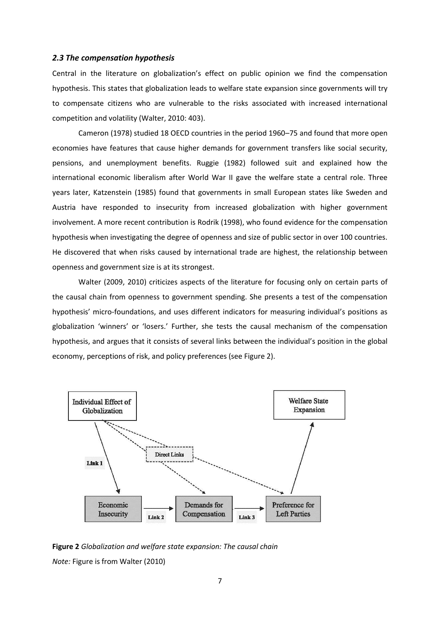#### *2.3 The compensation hypothesis*

Central in the literature on globalization's effect on public opinion we find the compensation hypothesis. This states that globalization leads to welfare state expansion since governments will try to compensate citizens who are vulnerable to the risks associated with increased international competition and volatility (Walter, 2010: 403).

Cameron (1978) studied 18 OECD countries in the period 1960–75 and found that more open economies have features that cause higher demands for government transfers like social security, pensions, and unemployment benefits. Ruggie (1982) followed suit and explained how the international economic liberalism after World War II gave the welfare state a central role. Three years later, Katzenstein (1985) found that governments in small European states like Sweden and Austria have responded to insecurity from increased globalization with higher government involvement. A more recent contribution is Rodrik (1998), who found evidence for the compensation hypothesis when investigating the degree of openness and size of public sector in over 100 countries. He discovered that when risks caused by international trade are highest, the relationship between openness and government size is at its strongest.

Walter (2009, 2010) criticizes aspects of the literature for focusing only on certain parts of the causal chain from openness to government spending. She presents a test of the compensation hypothesis' micro-foundations, and uses different indicators for measuring individual's positions as globalization 'winners' or 'losers.' Further, she tests the causal mechanism of the compensation hypothesis, and argues that it consists of several links between the individual's position in the global economy, perceptions of risk, and policy preferences (see Figure 2).



**Figure 2** *Globalization and welfare state expansion: The causal chain Note:* Figure is from Walter (2010)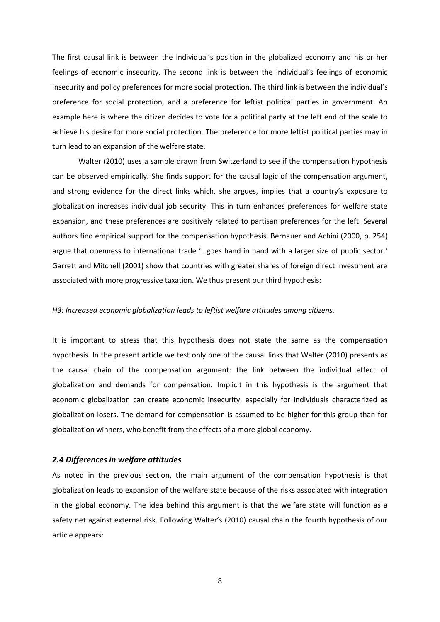The first causal link is between the individual's position in the globalized economy and his or her feelings of economic insecurity. The second link is between the individual's feelings of economic insecurity and policy preferences for more social protection. The third link is between the individual's preference for social protection, and a preference for leftist political parties in government. An example here is where the citizen decides to vote for a political party at the left end of the scale to achieve his desire for more social protection. The preference for more leftist political parties may in turn lead to an expansion of the welfare state.

Walter (2010) uses a sample drawn from Switzerland to see if the compensation hypothesis can be observed empirically. She finds support for the causal logic of the compensation argument, and strong evidence for the direct links which, she argues, implies that a country's exposure to globalization increases individual job security. This in turn enhances preferences for welfare state expansion, and these preferences are positively related to partisan preferences for the left. Several authors find empirical support for the compensation hypothesis. Bernauer and Achini (2000, p. 254) argue that openness to international trade '…goes hand in hand with a larger size of public sector.' Garrett and Mitchell (2001) show that countries with greater shares of foreign direct investment are associated with more progressive taxation. We thus present our third hypothesis:

#### *H3: Increased economic globalization leads to leftist welfare attitudes among citizens.*

It is important to stress that this hypothesis does not state the same as the compensation hypothesis. In the present article we test only one of the causal links that Walter (2010) presents as the causal chain of the compensation argument: the link between the individual effect of globalization and demands for compensation. Implicit in this hypothesis is the argument that economic globalization can create economic insecurity, especially for individuals characterized as globalization losers. The demand for compensation is assumed to be higher for this group than for globalization winners, who benefit from the effects of a more global economy.

## *2.4 Differences in welfare attitudes*

As noted in the previous section, the main argument of the compensation hypothesis is that globalization leads to expansion of the welfare state because of the risks associated with integration in the global economy. The idea behind this argument is that the welfare state will function as a safety net against external risk. Following Walter's (2010) causal chain the fourth hypothesis of our article appears:

8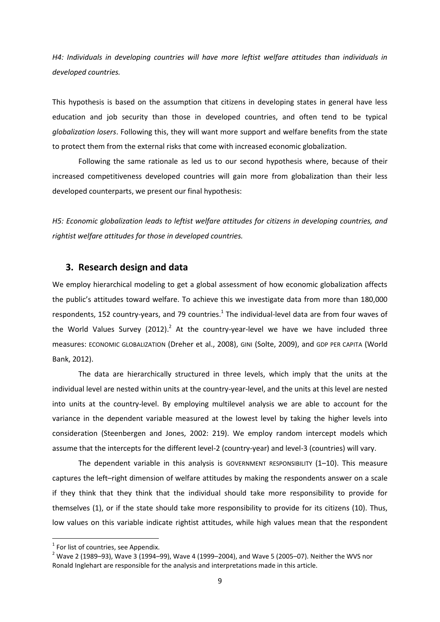*H4: Individuals in developing countries will have more leftist welfare attitudes than individuals in developed countries.*

This hypothesis is based on the assumption that citizens in developing states in general have less education and job security than those in developed countries, and often tend to be typical *globalization losers*. Following this, they will want more support and welfare benefits from the state to protect them from the external risks that come with increased economic globalization.

Following the same rationale as led us to our second hypothesis where, because of their increased competitiveness developed countries will gain more from globalization than their less developed counterparts, we present our final hypothesis:

*H5: Economic globalization leads to leftist welfare attitudes for citizens in developing countries, and rightist welfare attitudes for those in developed countries.*

## **3. Research design and data**

We employ hierarchical modeling to get a global assessment of how economic globalization affects the public's attitudes toward welfare. To achieve this we investigate data from more than 180,000 respondents, 152 country-years, and 79 countries. $^1$  The individual-level data are from four waves of the World Values Survey (2012).<sup>2</sup> At the country-year-level we have we have included three measures: ECONOMIC GLOBALIZATION (Dreher et al., 2008), GINI (Solte, 2009), and GDP PER CAPITA (World Bank, 2012).

The data are hierarchically structured in three levels, which imply that the units at the individual level are nested within units at the country-year-level, and the units at this level are nested into units at the country-level. By employing multilevel analysis we are able to account for the variance in the dependent variable measured at the lowest level by taking the higher levels into consideration (Steenbergen and Jones, 2002: 219). We employ random intercept models which assume that the intercepts for the different level-2 (country-year) and level-3 (countries) will vary.

The dependent variable in this analysis is GOVERNMENT RESPONSIBILITY (1–10). This measure captures the left–right dimension of welfare attitudes by making the respondents answer on a scale if they think that they think that the individual should take more responsibility to provide for themselves (1), or if the state should take more responsibility to provide for its citizens (10). Thus, low values on this variable indicate rightist attitudes, while high values mean that the respondent

**.** 

 $1$  For list of countries, see Appendix.

 $2$  Wave 2 (1989–93), Wave 3 (1994–99), Wave 4 (1999–2004), and Wave 5 (2005–07). Neither the WVS nor Ronald Inglehart are responsible for the analysis and interpretations made in this article.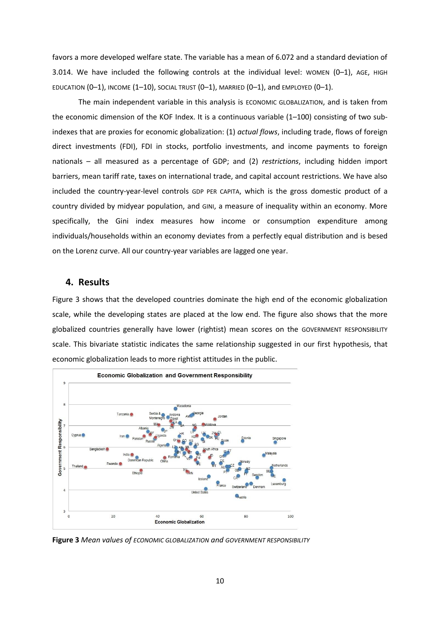favors a more developed welfare state. The variable has a mean of 6.072 and a standard deviation of 3.014. We have included the following controls at the individual level: WOMEN  $(0-1)$ , AGE, HIGH EDUCATION  $(0-1)$ , INCOME  $(1-10)$ , SOCIAL TRUST  $(0-1)$ , MARRIED  $(0-1)$ , and EMPLOYED  $(0-1)$ .

The main independent variable in this analysis is ECONOMIC GLOBALIZATION, and is taken from the economic dimension of the KOF Index. It is a continuous variable (1-100) consisting of two subindexes that are proxies for economic globalization: (1) *actual flows*, including trade, flows of foreign direct investments (FDI), FDI in stocks, portfolio investments, and income payments to foreign nationals – all measured as a percentage of GDP; and (2) *restrictions*, including hidden import barriers, mean tariff rate, taxes on international trade, and capital account restrictions. We have also included the country-year-level controls GDP PER CAPITA, which is the gross domestic product of a country divided by midyear population, and GINI, a measure of inequality within an economy. More specifically, the Gini index measures how income or consumption expenditure among individuals/households within an economy deviates from a perfectly equal distribution and is besed on the Lorenz curve. All our country-year variables are lagged one year.

### **4. Results**

Figure 3 shows that the developed countries dominate the high end of the economic globalization scale, while the developing states are placed at the low end. The figure also shows that the more globalized countries generally have lower (rightist) mean scores on the GOVERNMENT RESPONSIBILITY scale. This bivariate statistic indicates the same relationship suggested in our first hypothesis, that economic globalization leads to more rightist attitudes in the public.



**Figure 3** *Mean values of ECONOMIC GLOBALIZATION and GOVERNMENT RESPONSIBILITY*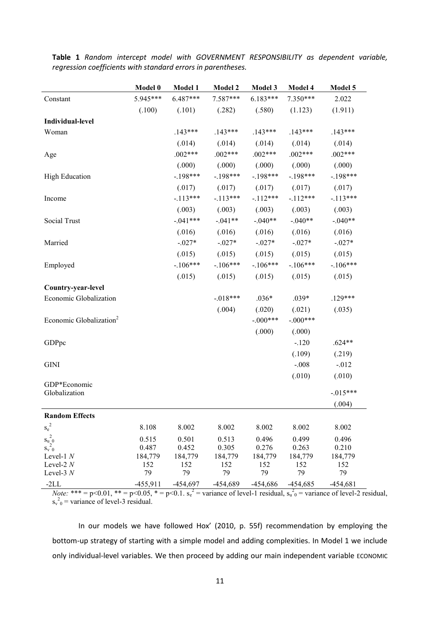|                                     | Model 0    | Model 1    | <b>Model 2</b> | Model 3    | Model 4    | Model 5    |
|-------------------------------------|------------|------------|----------------|------------|------------|------------|
| Constant                            | 5.945***   | $6.487***$ | $7.587***$     | $6.183***$ | $7.350***$ | 2.022      |
|                                     | (.100)     | (.101)     | (.282)         | (.580)     | (1.123)    | (1.911)    |
| Individual-level                    |            |            |                |            |            |            |
| Woman                               |            | $.143***$  | $.143***$      | $.143***$  | $.143***$  | $.143***$  |
|                                     |            | (.014)     | (.014)         | (.014)     | (.014)     | (.014)     |
| Age                                 |            | $.002***$  | $.002***$      | $.002***$  | $.002***$  | $.002***$  |
|                                     |            | (.000)     | (.000)         | (.000)     | (.000)     | (.000)     |
| <b>High Education</b>               |            | $-198***$  | $-198***$      | $-198***$  | $-198***$  | $-198***$  |
|                                     |            | (.017)     | (.017)         | (.017)     | (.017)     | (.017)     |
| Income                              |            | $-113***$  | $-113***$      | $-112***$  | $-112***$  | $-.113***$ |
|                                     |            | (.003)     | (.003)         | (.003)     | (.003)     | (.003)     |
| Social Trust                        |            | $-.041***$ | $-.041**$      | $-.040**$  | $-.040**$  | $-.040**$  |
|                                     |            | (.016)     | (.016)         | (.016)     | (.016)     | (.016)     |
| Married                             |            | $-.027*$   | $-.027*$       | $-0.027*$  | $-0.027*$  | $-.027*$   |
|                                     |            | (.015)     | (.015)         | (.015)     | (.015)     | (.015)     |
| Employed                            |            | $-106***$  | $-106***$      | $-.106***$ | $-106***$  | $-.106***$ |
|                                     |            | (.015)     | (.015)         | (.015)     | (.015)     | (.015)     |
| Country-year-level                  |            |            |                |            |            |            |
| Economic Globalization              |            |            | $-018***$      | $.036*$    | $.039*$    | $.129***$  |
|                                     |            |            | (.004)         | (.020)     | (.021)     | (.035)     |
| Economic Globalization <sup>2</sup> |            |            |                | $-.000***$ | $-.000***$ |            |
|                                     |            |            |                | (.000)     | (.000)     |            |
| GDPpc                               |            |            |                |            | $-.120$    | $.624**$   |
|                                     |            |            |                |            | (.109)     | (.219)     |
| <b>GINI</b>                         |            |            |                |            | $-.008$    | $-0.012$   |
|                                     |            |            |                |            | (.010)     | (.010)     |
| GDP*Economic<br>Globalization       |            |            |                |            |            | $-015***$  |
|                                     |            |            |                |            |            | (.004)     |
| <b>Random Effects</b>               |            |            |                |            |            |            |
| $s_{\rm e}^{\ 2}$                   | 8.108      | 8.002      | 8.002          | 8.002      | 8.002      | 8.002      |
| $s_{u}^2_{20}$                      | 0.515      | 0.501      | 0.513          | 0.496      | 0.499      | 0.496      |
| $S_v$ <sup>-</sup> 0                | 0.487      | 0.452      | 0.305          | 0.276      | 0.263      | 0.210      |
| Level-1 $N$<br>Level- $2N$          | 184,779    | 184,779    | 184,779        | 184,779    | 184,779    | 184,779    |
| Level-3 $N$                         | 152<br>79  | 152<br>79  | 152<br>79      | 152<br>79  | 152<br>79  | 152<br>79  |
| $-2LL$                              | $-455,911$ | $-454,697$ | $-454,689$     | -454,686   | $-454,685$ | $-454,681$ |

**Table 1** *Random intercept model with GOVERNMENT RESPONSIBILITY as dependent variable, regression coefficients with standard errors in parentheses.*

*Note:* \*\*\* = p<0.01, \*\* = p<0.05, \* = p<0.1.  $s_e^2$  = variance of level-1 residual,  $s_u^2$ <sub>0</sub> = variance of level-2 residual,  $s_v^2$ <sup>0</sup> = variance of level-3 residual.

In our models we have followed Hox' (2010, p. 55f) recommendation by employing the bottom-up strategy of starting with a simple model and adding complexities. In Model 1 we include only individual-level variables. We then proceed by adding our main independent variable ECONOMIC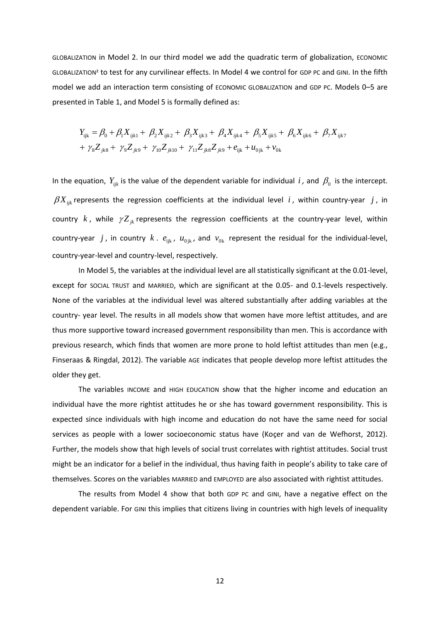GLOBALIZATION in Model 2. In our third model we add the quadratic term of globalization, ECONOMIC GLOBALIZATION² to test for any curvilinear effects. In Model 4 we control for GDP PC and GINI. In the fifth model we add an interaction term consisting of ECONOMIC GLOBALIZATION and GDP PC. Models 0–5 are presented in Table 1, and Model 5 is formally defined as:

ed in Table 1, and Model 5 is formally defined as:  
\n
$$
Y_{ijk} = \beta_0 + \beta_1 X_{ijk1} + \beta_2 X_{ijk2} + \beta_3 X_{ijk3} + \beta_4 X_{ijk4} + \beta_5 X_{ijk5} + \beta_6 X_{ijk6} + \beta_7 X_{ijk7} + \gamma_8 Z_{jk8} + \gamma_9 Z_{jk9} + \gamma_{10} Z_{jk10} + \gamma_{11} Z_{jk8} Z_{jk9} + e_{ijk} + u_{0jk} + v_{0k}
$$

In the equation,  $Y_{ijk}$  is the value of the dependent variable for individual i, and  $\beta_0$  is the intercept.  $\beta X_{ijk}$  represents the regression coefficients at the individual level i, within country-year j, in country  $k$ , while  $\gamma Z_{jk}$  represents the regression coefficients at the country-year level, within country-year *j*, in country  $k$ .  $e_{ijk}$ ,  $u_{0jk}$ , and  $v_{0k}$  represent the residual for the individual-level, country-year-level and country-level, respectively.

In Model 5, the variables at the individual level are all statistically significant at the 0.01-level, except for SOCIAL TRUST and MARRIED, which are significant at the 0.05- and 0.1-levels respectively. None of the variables at the individual level was altered substantially after adding variables at the country- year level. The results in all models show that women have more leftist attitudes, and are thus more supportive toward increased government responsibility than men. This is accordance with previous research, which finds that women are more prone to hold leftist attitudes than men (e.g., Finseraas & Ringdal, 2012). The variable AGE indicates that people develop more leftist attitudes the older they get.

The variables INCOME and HIGH EDUCATION show that the higher income and education an individual have the more rightist attitudes he or she has toward government responsibility. This is expected since individuals with high income and education do not have the same need for social services as people with a lower socioeconomic status have (Koçer and van de Wefhorst, 2012). Further, the models show that high levels of social trust correlates with rightist attitudes. Social trust might be an indicator for a belief in the individual, thus having faith in people's ability to take care of themselves. Scores on the variables MARRIED and EMPLOYED are also associated with rightist attitudes.

The results from Model 4 show that both GDP PC and GINI, have a negative effect on the dependent variable. For GINI this implies that citizens living in countries with high levels of inequality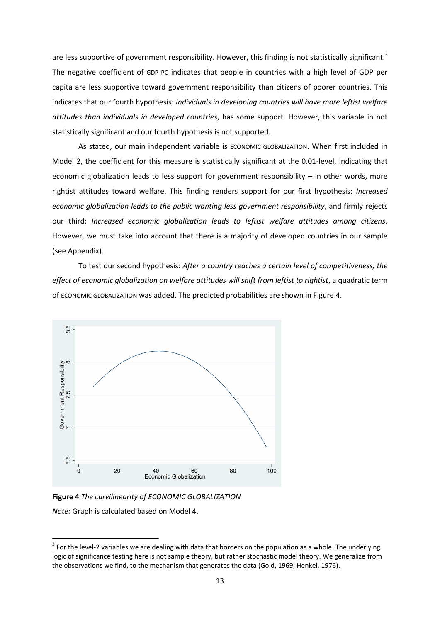are less supportive of government responsibility. However, this finding is not statistically significant.<sup>3</sup> The negative coefficient of GDP PC indicates that people in countries with a high level of GDP per capita are less supportive toward government responsibility than citizens of poorer countries. This indicates that our fourth hypothesis: *Individuals in developing countries will have more leftist welfare attitudes than individuals in developed countries*, has some support. However, this variable in not statistically significant and our fourth hypothesis is not supported.

As stated, our main independent variable is ECONOMIC GLOBALIZATION. When first included in Model 2, the coefficient for this measure is statistically significant at the 0.01-level, indicating that economic globalization leads to less support for government responsibility – in other words, more rightist attitudes toward welfare. This finding renders support for our first hypothesis: *Increased economic globalization leads to the public wanting less government responsibility*, and firmly rejects our third: *Increased economic globalization leads to leftist welfare attitudes among citizens*. However, we must take into account that there is a majority of developed countries in our sample (see Appendix).

To test our second hypothesis: *After a country reaches a certain level of competitiveness, the effect of economic globalization on welfare attitudes will shift from leftist to rightist*, a quadratic term of ECONOMIC GLOBALIZATION was added. The predicted probabilities are shown in Figure 4.



**Figure 4** *The curvilinearity of ECONOMIC GLOBALIZATION*

*Note:* Graph is calculated based on Model 4.

**.** 

 $3$  For the level-2 variables we are dealing with data that borders on the population as a whole. The underlying logic of significance testing here is not sample theory, but rather stochastic model theory. We generalize from the observations we find, to the mechanism that generates the data (Gold, 1969; Henkel, 1976).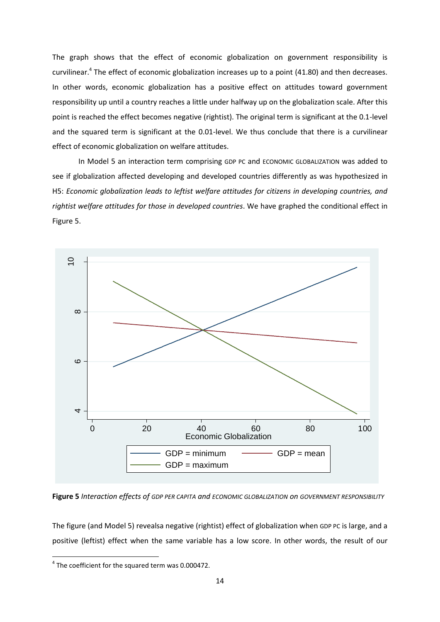The graph shows that the effect of economic globalization on government responsibility is curvilinear.<sup>4</sup> The effect of economic globalization increases up to a point (41.80) and then decreases. In other words, economic globalization has a positive effect on attitudes toward government responsibility up until a country reaches a little under halfway up on the globalization scale. After this point is reached the effect becomes negative (rightist). The original term is significant at the 0.1-level and the squared term is significant at the 0.01-level. We thus conclude that there is a curvilinear effect of economic globalization on welfare attitudes.

In Model 5 an interaction term comprising GDP PC and ECONOMIC GLOBALIZATION was added to see if globalization affected developing and developed countries differently as was hypothesized in H5: *Economic globalization leads to leftist welfare attitudes for citizens in developing countries, and rightist welfare attitudes for those in developed countries*. We have graphed the conditional effect in Figure 5.



**Figure 5** *Interaction effects of GDP PER CAPITA and ECONOMIC GLOBALIZATION on GOVERNMENT RESPONSIBILITY*

The figure (and Model 5) revealsa negative (rightist) effect of globalization when GDP PC is large, and a positive (leftist) effect when the same variable has a low score. In other words, the result of our

**.** 

 $4$  The coefficient for the squared term was 0.000472.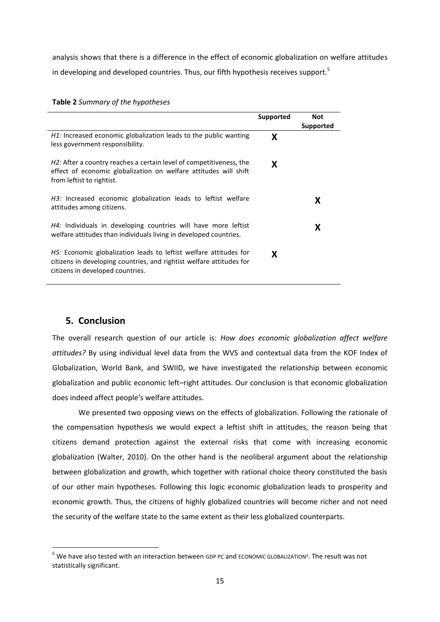analysis shows that there is a difference in the effect of economic globalization on welfare attitudes in developing and developed countries. Thus, our fifth hypothesis receives support.<sup>5</sup>

|                                                                                                                                                                               | Supported | <b>Not</b><br>Supported |
|-------------------------------------------------------------------------------------------------------------------------------------------------------------------------------|-----------|-------------------------|
| H1: Increased economic globalization leads to the public wanting<br>less government responsibility.                                                                           | X         |                         |
| H2: After a country reaches a certain level of competitiveness, the<br>effect of economic globalization on welfare attitudes will shift<br>from leftist to rightist.          | X         |                         |
| H3: Increased economic globalization leads to leftist welfare<br>attitudes among citizens.                                                                                    |           | x                       |
| <i>H4:</i> Individuals in developing countries will have more leftist<br>welfare attitudes than individuals living in developed countries.                                    |           | x                       |
| H5: Economic globalization leads to leftist welfare attitudes for<br>citizens in developing countries, and rightist welfare attitudes for<br>citizens in developed countries. | X         |                         |

#### **Table 2** *Summary of the hypotheses*

## **5. Conclusion**

1

The overall research question of our article is: *How does economic globalization affect welfare attitudes?* By using individual level data from the WVS and contextual data from the KOF Index of Globalization, World Bank, and SWIID, we have investigated the relationship between economic globalization and public economic left–right attitudes. Our conclusion is that economic globalization does indeed affect people's welfare attitudes.

We presented two opposing views on the effects of globalization. Following the rationale of the compensation hypothesis we would expect a leftist shift in attitudes, the reason being that citizens demand protection against the external risks that come with increasing economic globalization (Walter, 2010). On the other hand is the neoliberal argument about the relationship between globalization and growth, which together with rational choice theory constituted the basis of our other main hypotheses. Following this logic economic globalization leads to prosperity and economic growth. Thus, the citizens of highly globalized countries will become richer and not need the security of the welfare state to the same extent as their less globalized counterparts.

<sup>&</sup>lt;sup>5</sup> We have also tested with an interaction between GDP PC and ECONOMIC GLOBALIZATION<sup>2</sup>. The result was not statistically significant.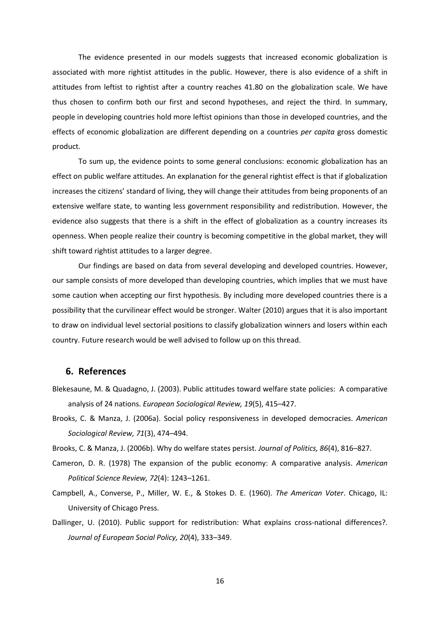The evidence presented in our models suggests that increased economic globalization is associated with more rightist attitudes in the public. However, there is also evidence of a shift in attitudes from leftist to rightist after a country reaches 41.80 on the globalization scale. We have thus chosen to confirm both our first and second hypotheses, and reject the third. In summary, people in developing countries hold more leftist opinions than those in developed countries, and the effects of economic globalization are different depending on a countries *per capita* gross domestic product.

To sum up, the evidence points to some general conclusions: economic globalization has an effect on public welfare attitudes. An explanation for the general rightist effect is that if globalization increases the citizens' standard of living, they will change their attitudes from being proponents of an extensive welfare state, to wanting less government responsibility and redistribution. However, the evidence also suggests that there is a shift in the effect of globalization as a country increases its openness. When people realize their country is becoming competitive in the global market, they will shift toward rightist attitudes to a larger degree.

Our findings are based on data from several developing and developed countries. However, our sample consists of more developed than developing countries, which implies that we must have some caution when accepting our first hypothesis. By including more developed countries there is a possibility that the curvilinear effect would be stronger. Walter (2010) argues that it is also important to draw on individual level sectorial positions to classify globalization winners and losers within each country. Future research would be well advised to follow up on this thread.

## **6. References**

- Blekesaune, M. & Quadagno, J. (2003). Public attitudes toward welfare state policies: A comparative analysis of 24 nations. *European Sociological Review, 19*(5), 415–427.
- Brooks, C. & Manza, J. (2006a). Social policy responsiveness in developed democracies. *American Sociological Review, 71*(3), 474–494.
- Brooks, C. & Manza, J. (2006b). Why do welfare states persist. *Journal of Politics, 86*(4), 816–827.
- Cameron, D. R. (1978) The expansion of the public economy: A comparative analysis. *American Political Science Review, 72*(4): 1243–1261.
- Campbell, A., Converse, P., Miller, W. E., & Stokes D. E. (1960). *The American Voter*. Chicago, IL: University of Chicago Press.
- Dallinger, U. (2010). Public support for redistribution: What explains cross-national differences?. *Journal of European Social Policy, 20*(4), 333–349.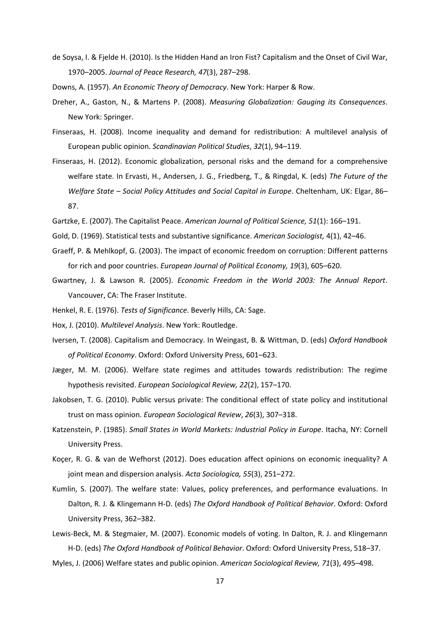de Soysa, I. & Fjelde H. (2010). Is the Hidden Hand an Iron Fist? Capitalism and the Onset of Civil War, 1970–2005. *Journal of Peace Research, 47*(3), 287–298.

Downs, A. (1957). *An Economic Theory of Democracy*. New York: Harper & Row.

- Dreher, A., Gaston, N., & Martens P. (2008). *Measuring Globalization: Gauging its Consequences*. New York: Springer.
- Finseraas, H. (2008). Income inequality and demand for redistribution: A multilevel analysis of European public opinion. *Scandinavian Political Studies*, *32*(1), 94–119.
- Finseraas, H. (2012). Economic globalization, personal risks and the demand for a comprehensive welfare state. In Ervasti, H., Andersen, J. G., Friedberg, T., & Ringdal, K. (eds) *The Future of the Welfare State – Social Policy Attitudes and Social Capital in Europe*. Cheltenham, UK: Elgar, 86– 87.
- Gartzke, E. (2007). The Capitalist Peace. *American Journal of Political Science, 51*(1): 166–191.
- Gold, D. (1969). Statistical tests and substantive significance. *American Sociologist,* 4(1), 42–46.
- Graeff, P. & Mehlkopf, G. (2003). The impact of economic freedom on corruption: Different patterns for rich and poor countries. *European Journal of Political Economy, 19*(3), 605–620.
- Gwartney, J. & Lawson R. (2005). *Economic Freedom in the World 2003: The Annual Report*. Vancouver, CA: The Fraser Institute.
- Henkel, R. E. (1976). *Tests of Significance*. Beverly Hills, CA: Sage.
- Hox, J. (2010). *Multilevel Analysis*. New York: Routledge.
- Iversen, T. (2008). Capitalism and Democracy. In Weingast, B. & Wittman, D. (eds) *Oxford Handbook of Political Economy*. Oxford: Oxford University Press, 601–623.
- Jæger, M. M. (2006). Welfare state regimes and attitudes towards redistribution: The regime hypothesis revisited. *European Sociological Review, 22*(2), 157–170.
- Jakobsen, T. G. (2010). Public versus private: The conditional effect of state policy and institutional trust on mass opinion. *European Sociological Review*, *26*(3), 307–318.
- Katzenstein, P. (1985). *Small States in World Markets: Industrial Policy in Europe*. Itacha, NY: Cornell University Press.
- Koçer, R. G. & van de Wefhorst (2012). Does education affect opinions on economic inequality? A joint mean and dispersion analysis. *Acta Sociologica, 55*(3), 251–272.
- Kumlin, S. (2007). The welfare state: Values, policy preferences, and performance evaluations. In Dalton, R. J. & Klingemann H-D. (eds) *The Oxford Handbook of Political Behavior*. Oxford: Oxford University Press, 362–382.
- Lewis-Beck, M. & Stegmaier, M. (2007). Economic models of voting. In Dalton, R. J. and Klingemann H-D. (eds) *The Oxford Handbook of Political Behavior*. Oxford: Oxford University Press, 518–37.
- Myles, J. (2006) Welfare states and public opinion. *American Sociological Review, 71*(3), 495–498.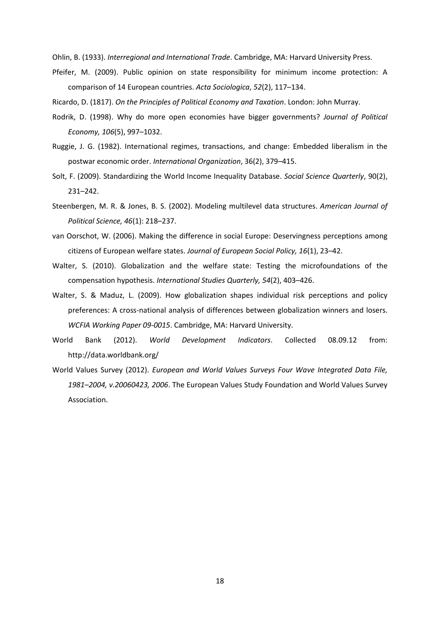Ohlin, B. (1933). *Interregional and International Trade*. Cambridge, MA: Harvard University Press.

Pfeifer, M. (2009). Public opinion on state responsibility for minimum income protection: A comparison of 14 European countries. *Acta Sociologica*, *52*(2), 117–134.

Ricardo, D. (1817). *On the Principles of Political Economy and Taxation*. London: John Murray.

- Rodrik, D. (1998). Why do more open economies have bigger governments? *Journal of Political Economy, 106*(5), 997–1032.
- Ruggie, J. G. (1982). International regimes, transactions, and change: Embedded liberalism in the postwar economic order. *International Organization*, 36(2), 379–415.
- Solt, F. (2009). Standardizing the World Income Inequality Database. *Social Science Quarterly*, 90(2), 231–242.
- Steenbergen, M. R. & Jones, B. S. (2002). Modeling multilevel data structures. *American Journal of Political Science, 46*(1): 218–237.
- van Oorschot, W. (2006). Making the difference in social Europe: Deservingness perceptions among citizens of European welfare states. *Journal of European Social Policy, 16*(1), 23–42.
- Walter, S. (2010). Globalization and the welfare state: Testing the microfoundations of the compensation hypothesis. *International Studies Quarterly, 54*(2), 403–426.
- Walter, S. & Maduz, L. (2009). How globalization shapes individual risk perceptions and policy preferences: A cross-national analysis of differences between globalization winners and losers. *WCFIA Working Paper 09-0015*. Cambridge, MA: Harvard University.
- World Bank (2012). *World Development Indicators*. Collected 08.09.12 from: http://data.worldbank.org/
- World Values Survey (2012). *European and World Values Surveys Four Wave Integrated Data File, 1981–2004, v.20060423, 2006*. The European Values Study Foundation and World Values Survey Association.